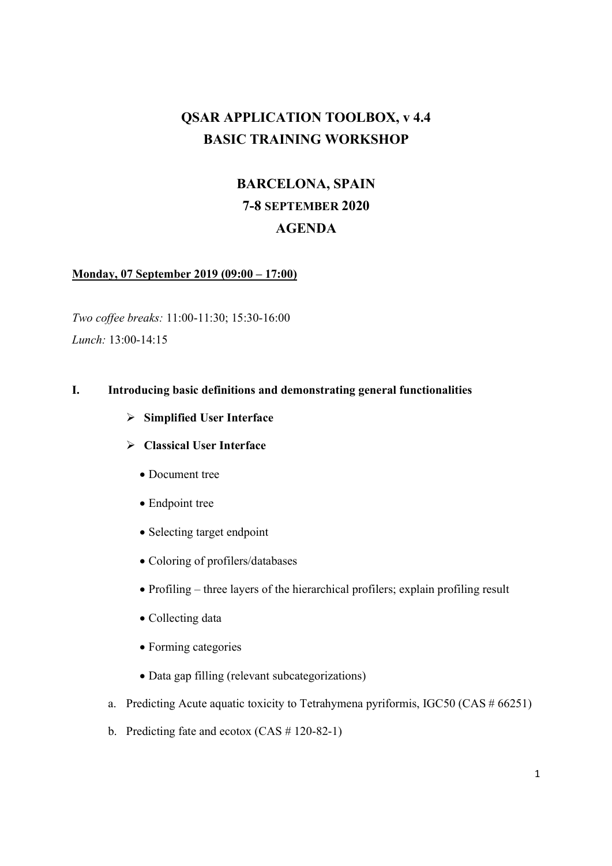# QSAR APPLICATION TOOLBOX, v 4.4 BASIC TRAINING WORKSHOP

# BARCELONA, SPAIN 7-8 SEPTEMBER 2020 AGENDA

#### Monday, 07 September 2019 (09:00 – 17:00)

Two coffee breaks: 11:00-11:30; 15:30-16:00 Lunch: 13:00-14:15

#### I. Introducing basic definitions and demonstrating general functionalities

- $\triangleright$  Simplified User Interface
- $\triangleright$  Classical User Interface
	- Document tree
	- Endpoint tree
	- Selecting target endpoint
	- Coloring of profilers/databases
	- Profiling three layers of the hierarchical profilers; explain profiling result
	- Collecting data
	- Forming categories
	- Data gap filling (relevant subcategorizations)
- a. Predicting Acute aquatic toxicity to Tetrahymena pyriformis, IGC50 (CAS # 66251)
- b. Predicting fate and ecotox (CAS # 120-82-1)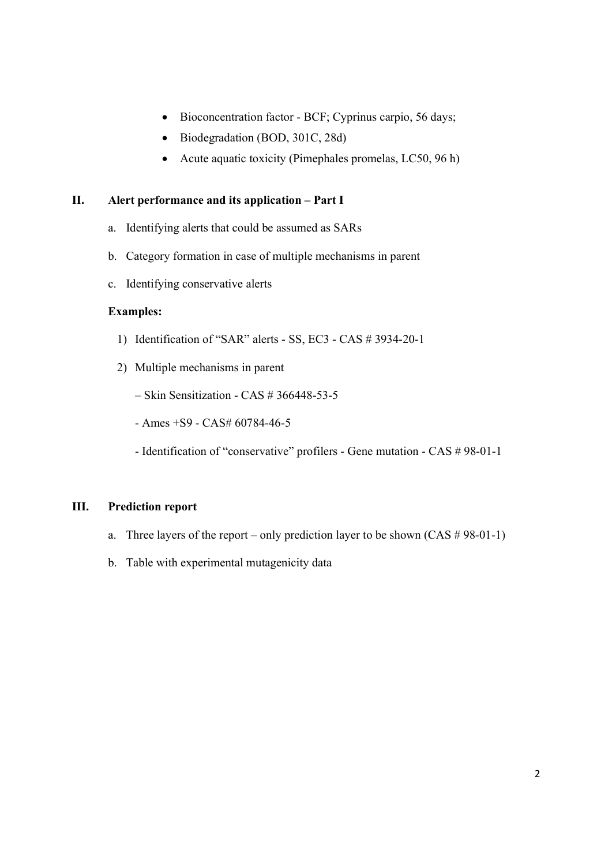- Bioconcentration factor BCF; Cyprinus carpio, 56 days;
- Biodegradation (BOD, 301C, 28d)
- Acute aquatic toxicity (Pimephales promelas, LC50, 96 h)

#### II. Alert performance and its application – Part I

- a. Identifying alerts that could be assumed as SARs
- b. Category formation in case of multiple mechanisms in parent
- c. Identifying conservative alerts

## Examples:

- 1) Identification of "SAR" alerts SS, EC3 CAS # 3934-20-1
- 2) Multiple mechanisms in parent
	- Skin Sensitization CAS # 366448-53-5
	- Ames +S9 CAS# 60784-46-5
	- Identification of "conservative" profilers Gene mutation CAS # 98-01-1

#### III. Prediction report

- a. Three layers of the report only prediction layer to be shown  $(CAS \# 98-01-1)$
- b. Table with experimental mutagenicity data